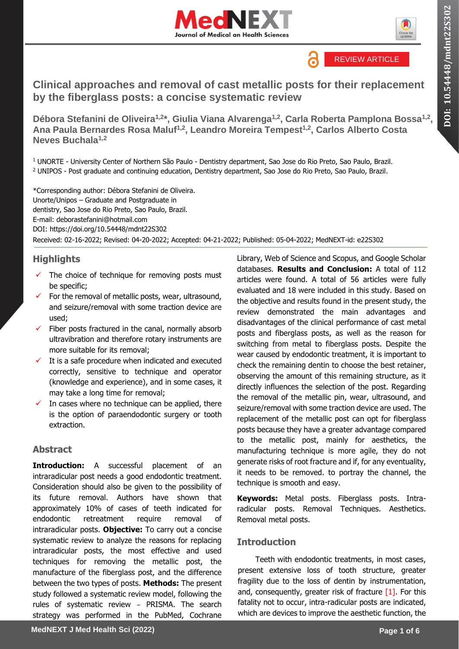



# **Clinical approaches and removal of cast metallic posts for their replacement by the fiberglass posts: a concise systematic review**

**Débora Stefanini de Oliveira1,2\*, Giulia Viana Alvarenga1,2, Carla Roberta Pamplona Bossa1,2 , Ana Paula Bernardes Rosa Maluf1,2, Leandro Moreira Tempest1,2, Carlos Alberto Costa Neves Buchala1,2**

<sup>1</sup> UNORTE - University Center of Northern São Paulo - Dentistry department, Sao Jose do Rio Preto, Sao Paulo, Brazil. <sup>2</sup> UNIPOS - Post graduate and continuing education, Dentistry department, Sao Jose do Rio Preto, Sao Paulo, Brazil.

\*Corresponding author: Débora Stefanini de Oliveira. Unorte/Unipos – Graduate and Postgraduate in dentistry, Sao Jose do Rio Preto, Sao Paulo, Brazil. E-mail: deborastefanini@hotmail.com DOI:<https://doi.org/10.54448/mdnt22S302> Received: 02-16-2022; Revised: 04-20-2022; Accepted: 04-21-2022; Published: 05-04-2022; MedNEXT-id: e22S302

# **Highlights**

- The choice of technique for removing posts must be specific;
- For the removal of metallic posts, wear, ultrasound, and seizure/removal with some traction device are used;
- Fiber posts fractured in the canal, normally absorb ultravibration and therefore rotary instruments are more suitable for its removal;
- It is a safe procedure when indicated and executed correctly, sensitive to technique and operator (knowledge and experience), and in some cases, it may take a long time for removal;
- In cases where no technique can be applied, there is the option of paraendodontic surgery or tooth extraction.

# **Abstract**

**Introduction:** A successful placement of an intraradicular post needs a good endodontic treatment. Consideration should also be given to the possibility of its future removal. Authors have shown that approximately 10% of cases of teeth indicated for endodontic retreatment require removal of intraradicular posts. **Objective:** To carry out a concise systematic review to analyze the reasons for replacing intraradicular posts, the most effective and used techniques for removing the metallic post, the manufacture of the fiberglass post, and the difference between the two types of posts. **Methods:** The present study followed a systematic review model, following the rules of systematic review – PRISMA. The search strategy was performed in the PubMed, Cochrane

Library, Web of Science and Scopus, and Google Scholar databases. **Results and Conclusion:** A total of 112 articles were found. A total of 56 articles were fully evaluated and 18 were included in this study. Based on the objective and results found in the present study, the review demonstrated the main advantages and disadvantages of the clinical performance of cast metal posts and fiberglass posts, as well as the reason for switching from metal to fiberglass posts. Despite the wear caused by endodontic treatment, it is important to check the remaining dentin to choose the best retainer, observing the amount of this remaining structure, as it directly influences the selection of the post. Regarding the removal of the metallic pin, wear, ultrasound, and seizure/removal with some traction device are used. The replacement of the metallic post can opt for fiberglass posts because they have a greater advantage compared to the metallic post, mainly for aesthetics, the manufacturing technique is more agile, they do not generate risks of root fracture and if, for any eventuality, it needs to be removed. to portray the channel, the technique is smooth and easy.

**Keywords:** Metal posts. Fiberglass posts. Intraradicular posts. Removal Techniques. Aesthetics. Removal metal posts.

# **Introduction**

Teeth with endodontic treatments, in most cases, present extensive loss of tooth structure, greater fragility due to the loss of dentin by instrumentation, and, consequently, greater risk of fracture  $[1]$ . For this fatality not to occur, intra-radicular posts are indicated, which are devices to improve the aesthetic function, the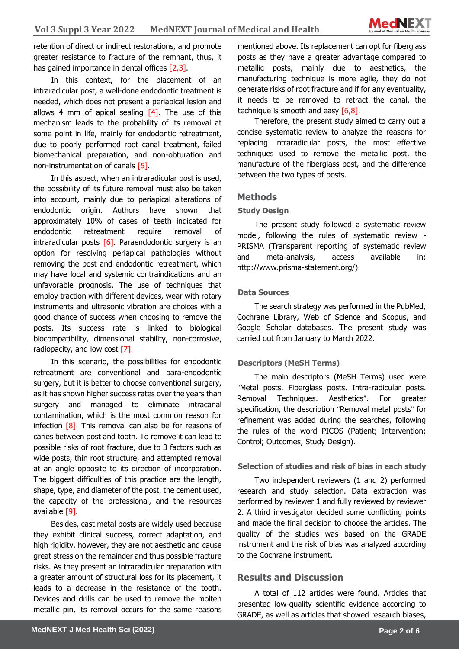retention of direct or indirect restorations, and promote greater resistance to fracture of the remnant, thus, it has gained importance in dental offices [2,3].

In this context, for the placement of an intraradicular post, a well-done endodontic treatment is needed, which does not present a periapical lesion and allows 4 mm of apical sealing  $[4]$ . The use of this mechanism leads to the probability of its removal at some point in life, mainly for endodontic retreatment, due to poorly performed root canal treatment, failed biomechanical preparation, and non-obturation and non-instrumentation of canals [5].

In this aspect, when an intraradicular post is used, the possibility of its future removal must also be taken into account, mainly due to periapical alterations of endodontic origin. Authors have shown that approximately 10% of cases of teeth indicated for endodontic retreatment require removal of intraradicular posts  $[6]$ . Paraendodontic surgery is an option for resolving periapical pathologies without removing the post and endodontic retreatment, which may have local and systemic contraindications and an unfavorable prognosis. The use of techniques that employ traction with different devices, wear with rotary instruments and ultrasonic vibration are choices with a good chance of success when choosing to remove the posts. Its success rate is linked to biological biocompatibility, dimensional stability, non-corrosive, radiopacity, and low cost [7].

In this scenario, the possibilities for endodontic retreatment are conventional and para-endodontic surgery, but it is better to choose conventional surgery, as it has shown higher success rates over the years than surgery and managed to eliminate intracanal contamination, which is the most common reason for infection  $\lceil 8 \rceil$ . This removal can also be for reasons of caries between post and tooth. To remove it can lead to possible risks of root fracture, due to 3 factors such as wide posts, thin root structure, and attempted removal at an angle opposite to its direction of incorporation. The biggest difficulties of this practice are the length, shape, type, and diameter of the post, the cement used, the capacity of the professional, and the resources available [9].

Besides, cast metal posts are widely used because they exhibit clinical success, correct adaptation, and high rigidity, however, they are not aesthetic and cause great stress on the remainder and thus possible fracture risks. As they present an intraradicular preparation with a greater amount of structural loss for its placement, it leads to a decrease in the resistance of the tooth. Devices and drills can be used to remove the molten metallic pin, its removal occurs for the same reasons

mentioned above. Its replacement can opt for fiberglass posts as they have a greater advantage compared to metallic posts, mainly due to aesthetics, the manufacturing technique is more agile, they do not generate risks of root fracture and if for any eventuality, it needs to be removed to retract the canal, the technique is smooth and easy [6,8].

Therefore, the present study aimed to carry out a concise systematic review to analyze the reasons for replacing intraradicular posts, the most effective techniques used to remove the metallic post, the manufacture of the fiberglass post, and the difference between the two types of posts.

### **Methods**

#### **Study Design**

The present study followed a systematic review model, following the rules of systematic review - PRISMA (Transparent reporting of systematic review and meta-analysis, access available in: http://www.prisma-statement.org/).

#### **Data Sources**

The search strategy was performed in the PubMed, Cochrane Library, Web of Science and Scopus, and Google Scholar databases. The present study was carried out from January to March 2022.

### **Descriptors (MeSH Terms)**

The main descriptors (MeSH Terms) used were "Metal posts. Fiberglass posts. Intra-radicular posts. Removal Techniques. Aesthetics". For greater specification, the description "Removal metal posts" for refinement was added during the searches, following the rules of the word PICOS (Patient; Intervention; Control; Outcomes; Study Design).

#### **Selection of studies and risk of bias in each study**

Two independent reviewers (1 and 2) performed research and study selection. Data extraction was performed by reviewer 1 and fully reviewed by reviewer 2. A third investigator decided some conflicting points and made the final decision to choose the articles. The quality of the studies was based on the GRADE instrument and the risk of bias was analyzed according to the Cochrane instrument.

# **Results and Discussion**

A total of 112 articles were found. Articles that presented low-quality scientific evidence according to GRADE, as well as articles that showed research biases,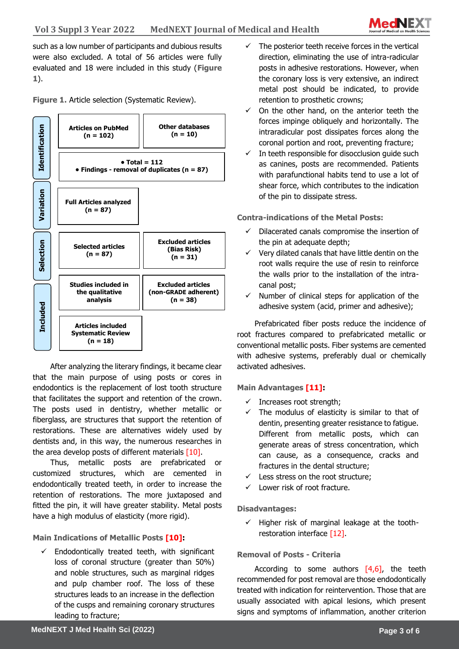

such as a low number of participants and dubious results were also excluded. A total of 56 articles were fully evaluated and 18 were included in this study (**Figure 1**).

**Figure 1.** Article selection (Systematic Review).



After analyzing the literary findings, it became clear that the main purpose of using posts or cores in endodontics is the replacement of lost tooth structure that facilitates the support and retention of the crown. The posts used in dentistry, whether metallic or fiberglass, are structures that support the retention of restorations. These are alternatives widely used by dentists and, in this way, the numerous researches in the area develop posts of different materials [10].

Thus, metallic posts are prefabricated or customized structures, which are cemented in endodontically treated teeth, in order to increase the retention of restorations. The more juxtaposed and fitted the pin, it will have greater stability. Metal posts have a high modulus of elasticity (more rigid).

**Main Indications of Metallic Posts [10]:**

Endodontically treated teeth, with significant loss of coronal structure (greater than 50%) and noble structures, such as marginal ridges and pulp chamber roof. The loss of these structures leads to an increase in the deflection of the cusps and remaining coronary structures leading to fracture;

- The posterior teeth receive forces in the vertical direction, eliminating the use of intra-radicular posts in adhesive restorations. However, when the coronary loss is very extensive, an indirect metal post should be indicated, to provide retention to prosthetic crowns;
- $\checkmark$  On the other hand, on the anterior teeth the forces impinge obliquely and horizontally. The intraradicular post dissipates forces along the coronal portion and root, preventing fracture;
- $\checkmark$  In teeth responsible for disocclusion quide such as canines, posts are recommended. Patients with parafunctional habits tend to use a lot of shear force, which contributes to the indication of the pin to dissipate stress.

**Contra-indications of the Metal Posts:**

- Dilacerated canals compromise the insertion of the pin at adequate depth;
- $\checkmark$  Very dilated canals that have little dentin on the root walls require the use of resin to reinforce the walls prior to the installation of the intracanal post;
- $\checkmark$  Number of clinical steps for application of the adhesive system (acid, primer and adhesive);

Prefabricated fiber posts reduce the incidence of root fractures compared to prefabricated metallic or conventional metallic posts. Fiber systems are cemented with adhesive systems, preferably dual or chemically activated adhesives.

**Main Advantages [11]:**

- $\checkmark$  Increases root strength;
- $\checkmark$  The modulus of elasticity is similar to that of dentin, presenting greater resistance to fatigue. Different from metallic posts, which can generate areas of stress concentration, which can cause, as a consequence, cracks and fractures in the dental structure;
- $\checkmark$  Less stress on the root structure;
- ✓ Lower risk of root fracture.

**Disadvantages:**

 $\checkmark$  Higher risk of marginal leakage at the toothrestoration interface [12].

## **Removal of Posts - Criteria**

According to some authors  $[4,6]$ , the teeth recommended for post removal are those endodontically treated with indication for reintervention. Those that are usually associated with apical lesions, which present signs and symptoms of inflammation, another criterion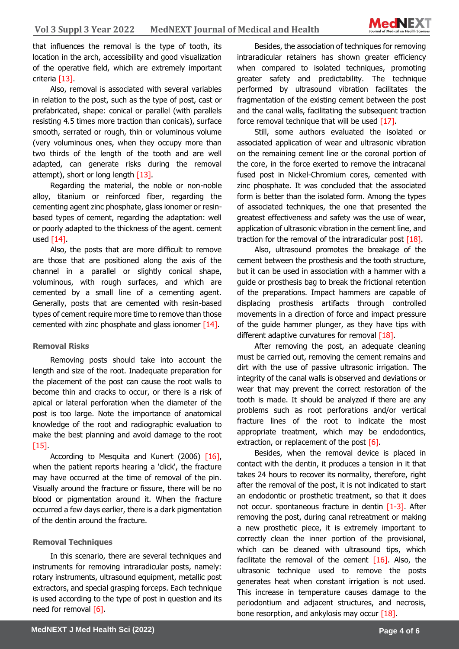

that influences the removal is the type of tooth, its location in the arch, accessibility and good visualization of the operative field, which are extremely important criteria [13].

Also, removal is associated with several variables in relation to the post, such as the type of post, cast or prefabricated, shape: conical or parallel (with parallels resisting 4.5 times more traction than conicals), surface smooth, serrated or rough, thin or voluminous volume (very voluminous ones, when they occupy more than two thirds of the length of the tooth and are well adapted, can generate risks during the removal attempt), short or long length  $[13]$ .

Regarding the material, the noble or non-noble alloy, titanium or reinforced fiber, regarding the cementing agent zinc phosphate, glass ionomer or resinbased types of cement, regarding the adaptation: well or poorly adapted to the thickness of the agent. cement used  $[14]$ .

Also, the posts that are more difficult to remove are those that are positioned along the axis of the channel in a parallel or slightly conical shape, voluminous, with rough surfaces, and which are cemented by a small line of a cementing agent. Generally, posts that are cemented with resin-based types of cement require more time to remove than those cemented with zinc phosphate and glass ionomer [14].

### **Removal Risks**

Removing posts should take into account the length and size of the root. Inadequate preparation for the placement of the post can cause the root walls to become thin and cracks to occur, or there is a risk of apical or lateral perforation when the diameter of the post is too large. Note the importance of anatomical knowledge of the root and radiographic evaluation to make the best planning and avoid damage to the root  $[15]$ .

According to Mesquita and Kunert (2006) [16], when the patient reports hearing a 'click', the fracture may have occurred at the time of removal of the pin. Visually around the fracture or fissure, there will be no blood or pigmentation around it. When the fracture occurred a few days earlier, there is a dark pigmentation of the dentin around the fracture.

#### **Removal Techniques**

In this scenario, there are several techniques and instruments for removing intraradicular posts, namely: rotary instruments, ultrasound equipment, metallic post extractors, and special grasping forceps. Each technique is used according to the type of post in question and its need for removal [6].

Besides, the association of techniques for removing intraradicular retainers has shown greater efficiency when compared to isolated techniques, promoting greater safety and predictability. The technique performed by ultrasound vibration facilitates the fragmentation of the existing cement between the post and the canal walls, facilitating the subsequent traction force removal technique that will be used  $[17]$ .

Still, some authors evaluated the isolated or associated application of wear and ultrasonic vibration on the remaining cement line or the coronal portion of the core, in the force exerted to remove the intracanal fused post in Nickel-Chromium cores, cemented with zinc phosphate. It was concluded that the associated form is better than the isolated form. Among the types of associated techniques, the one that presented the greatest effectiveness and safety was the use of wear, application of ultrasonic vibration in the cement line, and traction for the removal of the intraradicular post  $[18]$ .

Also, ultrasound promotes the breakage of the cement between the prosthesis and the tooth structure, but it can be used in association with a hammer with a guide or prosthesis bag to break the frictional retention of the preparations. Impact hammers are capable of displacing prosthesis artifacts through controlled movements in a direction of force and impact pressure of the guide hammer plunger, as they have tips with different adaptive curvatures for removal [18].

After removing the post, an adequate cleaning must be carried out, removing the cement remains and dirt with the use of passive ultrasonic irrigation. The integrity of the canal walls is observed and deviations or wear that may prevent the correct restoration of the tooth is made. It should be analyzed if there are any problems such as root perforations and/or vertical fracture lines of the root to indicate the most appropriate treatment, which may be endodontics, extraction, or replacement of the post  $[6]$ .

Besides, when the removal device is placed in contact with the dentin, it produces a tension in it that takes 24 hours to recover its normality, therefore, right after the removal of the post, it is not indicated to start an endodontic or prosthetic treatment, so that it does not occur. spontaneous fracture in dentin [1-3]. After removing the post, during canal retreatment or making a new prosthetic piece, it is extremely important to correctly clean the inner portion of the provisional, which can be cleaned with ultrasound tips, which facilitate the removal of the cement  $[16]$ . Also, the ultrasonic technique used to remove the posts generates heat when constant irrigation is not used. This increase in temperature causes damage to the periodontium and adjacent structures, and necrosis, bone resorption, and ankylosis may occur  $[18]$ .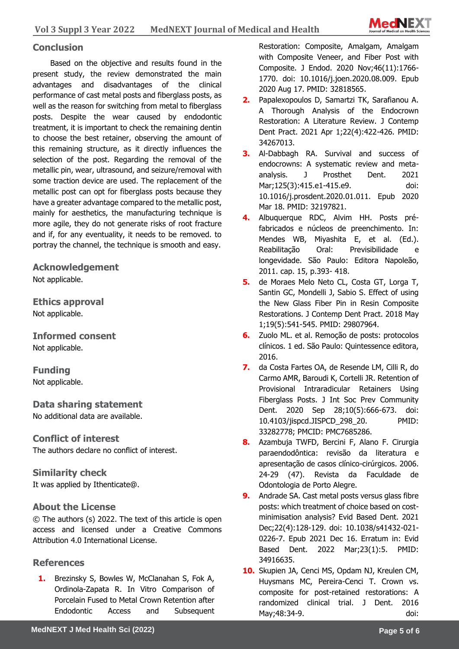

# **Conclusion**

Based on the objective and results found in the present study, the review demonstrated the main advantages and disadvantages of the clinical performance of cast metal posts and fiberglass posts, as well as the reason for switching from metal to fiberglass posts. Despite the wear caused by endodontic treatment, it is important to check the remaining dentin to choose the best retainer, observing the amount of this remaining structure, as it directly influences the selection of the post. Regarding the removal of the metallic pin, wear, ultrasound, and seizure/removal with some traction device are used. The replacement of the metallic post can opt for fiberglass posts because they have a greater advantage compared to the metallic post, mainly for aesthetics, the manufacturing technique is more agile, they do not generate risks of root fracture and if, for any eventuality, it needs to be removed. to portray the channel, the technique is smooth and easy.

**Acknowledgement** Not applicable.

**Ethics approval**  Not applicable.

**Informed consent** Not applicable.

**Funding** Not applicable.

**Data sharing statement** No additional data are available.

**Conflict of interest** The authors declare no conflict of interest.

**Similarity check**  It was applied by Ithenticate@.

# **About the License**

© The authors (s) 2022. The text of this article is open access and licensed under a Creative Commons Attribution 4.0 International License.

## **References**

**1.** Brezinsky S, Bowles W, McClanahan S, Fok A, Ordinola-Zapata R. In Vitro Comparison of Porcelain Fused to Metal Crown Retention after Endodontic Access and Subsequent Restoration: Composite, Amalgam, Amalgam with Composite Veneer, and Fiber Post with Composite. J Endod. 2020 Nov;46(11):1766- 1770. doi: 10.1016/j.joen.2020.08.009. Epub 2020 Aug 17. PMID: 32818565.

- **2.** Papalexopoulos D, Samartzi TK, Sarafianou A. A Thorough Analysis of the Endocrown Restoration: A Literature Review. J Contemp Dent Pract. 2021 Apr 1;22(4):422-426. PMID: 34267013.
- **3.** Al-Dabbagh RA. Survival and success of endocrowns: A systematic review and metaanalysis. J Prosthet Dent. 2021 Mar;125(3):415.e1-415.e9. doi: 10.1016/j.prosdent.2020.01.011. Epub 2020 Mar 18. PMID: 32197821.
- **4.** Albuquerque RDC, Alvim HH. Posts préfabricados e núcleos de preenchimento. In: Mendes WB, Miyashita E, et al. (Ed.). Reabilitação Oral: Previsibilidade e longevidade. São Paulo: Editora Napoleão, 2011. cap. 15, p.393- 418.
- **5.** de Moraes Melo Neto CL, Costa GT, Lorga T, Santin GC, Mondelli J, Sabio S. Effect of using the New Glass Fiber Pin in Resin Composite Restorations. J Contemp Dent Pract. 2018 May 1;19(5):541-545. PMID: 29807964.
- **6.** Zuolo ML. et al. Remoção de posts: protocolos clínicos. 1 ed. São Paulo: Quintessence editora, 2016.
- **7.** da Costa Fartes OA, de Resende LM, Cilli R, do Carmo AMR, Baroudi K, Cortelli JR. Retention of Provisional Intraradicular Retainers Using Fiberglass Posts. J Int Soc Prev Community Dent. 2020 Sep 28;10(5):666-673. doi: 10.4103/jispcd.JISPCD\_298\_20. PMID: 33282778; PMCID: PMC7685286.
- **8.** Azambuja TWFD, Bercini F, Alano F. Cirurgia paraendodôntica: revisão da literatura e apresentação de casos clínico-cirúrgicos. 2006. 24-29 (47). Revista da Faculdade de Odontologia de Porto Alegre.
- **9.** Andrade SA. Cast metal posts versus glass fibre posts: which treatment of choice based on costminimisation analysis? Evid Based Dent. 2021 Dec;22(4):128-129. doi: 10.1038/s41432-021- 0226-7. Epub 2021 Dec 16. Erratum in: Evid Based Dent. 2022 Mar;23(1):5. PMID: 34916635.
- **10.** Skupien JA, Cenci MS, Opdam NJ, Kreulen CM, Huysmans MC, Pereira-Cenci T. Crown vs. composite for post-retained restorations: A randomized clinical trial. J Dent. 2016 May;48:34-9. doi: